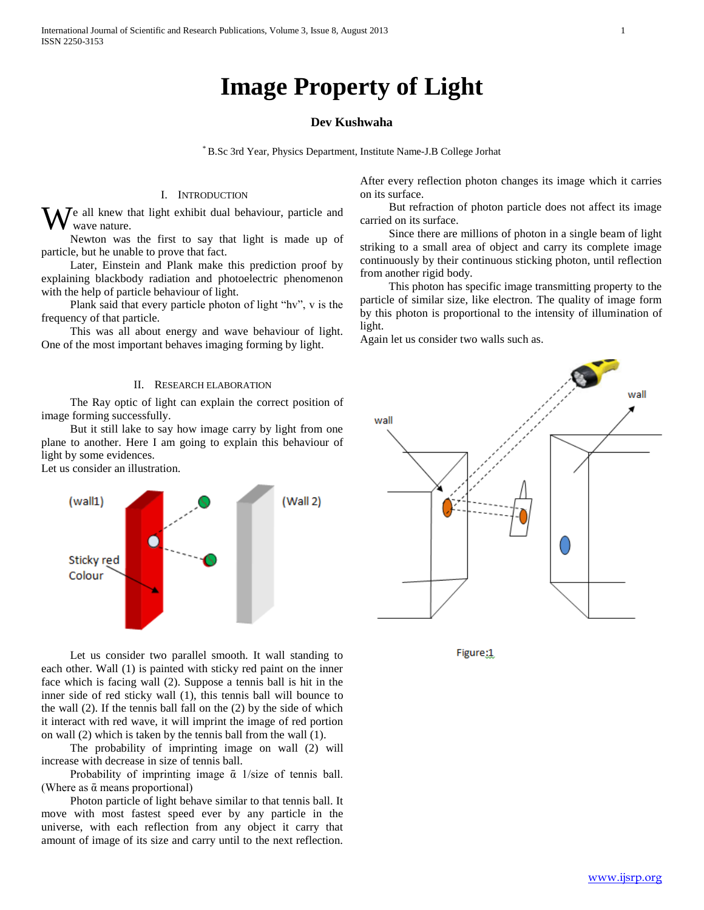# **Image Property of Light**

## **Dev Kushwaha**

\* B.Sc 3rd Year, Physics Department, Institute Name-J.B College Jorhat

#### I. INTRODUCTION

 $\mathbf{W}^{\text{e}}$  all knew that light exhibit dual behaviour, particle and wave nature. wave nature.

 Newton was the first to say that light is made up of particle, but he unable to prove that fact.

 Later, Einstein and Plank make this prediction proof by explaining blackbody radiation and photoelectric phenomenon with the help of particle behaviour of light.

 Plank said that every particle photon of light "hv", v is the frequency of that particle.

 This was all about energy and wave behaviour of light. One of the most important behaves imaging forming by light.

### II. RESEARCH ELABORATION

 The Ray optic of light can explain the correct position of image forming successfully.

 But it still lake to say how image carry by light from one plane to another. Here I am going to explain this behaviour of light by some evidences.

Let us consider an illustration.



 Let us consider two parallel smooth. It wall standing to each other. Wall (1) is painted with sticky red paint on the inner face which is facing wall (2). Suppose a tennis ball is hit in the inner side of red sticky wall (1), this tennis ball will bounce to the wall (2). If the tennis ball fall on the (2) by the side of which it interact with red wave, it will imprint the image of red portion on wall (2) which is taken by the tennis ball from the wall (1).

 The probability of imprinting image on wall (2) will increase with decrease in size of tennis ball.

Probability of imprinting image  $\bar{\alpha}$  1/size of tennis ball. (Where as  $\bar{\alpha}$  means proportional)

 Photon particle of light behave similar to that tennis ball. It move with most fastest speed ever by any particle in the universe, with each reflection from any object it carry that amount of image of its size and carry until to the next reflection.

After every reflection photon changes its image which it carries on its surface.

 But refraction of photon particle does not affect its image carried on its surface.

 Since there are millions of photon in a single beam of light striking to a small area of object and carry its complete image continuously by their continuous sticking photon, until reflection from another rigid body.

 This photon has specific image transmitting property to the particle of similar size, like electron. The quality of image form by this photon is proportional to the intensity of illumination of light.

Again let us consider two walls such as.



Figure:1